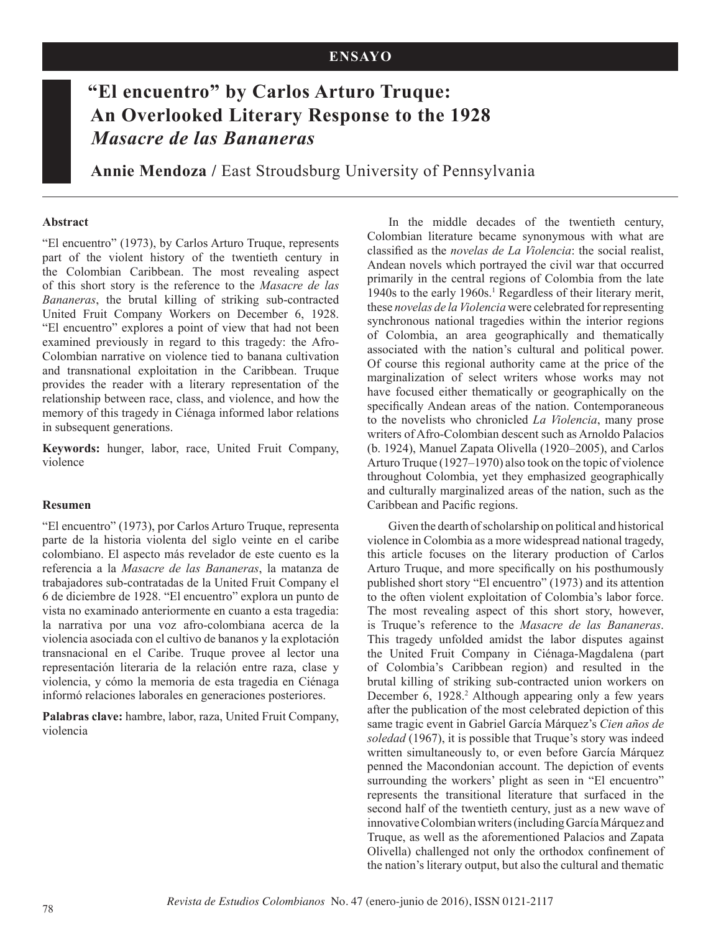## **ENSAYO**

# **"El encuentro" by Carlos Arturo Truque: An Overlooked Literary Response to the 1928**  *Masacre de las Bananeras*

**Annie Mendoza /** East Stroudsburg University of Pennsylvania

#### **Abstract**

"El encuentro" (1973), by Carlos Arturo Truque, represents part of the violent history of the twentieth century in the Colombian Caribbean. The most revealing aspect of this short story is the reference to the *Masacre de las Bananeras*, the brutal killing of striking sub-contracted United Fruit Company Workers on December 6, 1928. "El encuentro" explores a point of view that had not been examined previously in regard to this tragedy: the Afro-Colombian narrative on violence tied to banana cultivation and transnational exploitation in the Caribbean. Truque provides the reader with a literary representation of the relationship between race, class, and violence, and how the memory of this tragedy in Ciénaga informed labor relations in subsequent generations.

**Keywords:** hunger, labor, race, United Fruit Company, violence

#### **Resumen**

"El encuentro" (1973), por Carlos Arturo Truque, representa parte de la historia violenta del siglo veinte en el caribe colombiano. El aspecto más revelador de este cuento es la referencia a la *Masacre de las Bananeras*, la matanza de trabajadores sub-contratadas de la United Fruit Company el 6 de diciembre de 1928. "El encuentro" explora un punto de vista no examinado anteriormente en cuanto a esta tragedia: la narrativa por una voz afro-colombiana acerca de la violencia asociada con el cultivo de bananos y la explotación transnacional en el Caribe. Truque provee al lector una representación literaria de la relación entre raza, clase y violencia, y cómo la memoria de esta tragedia en Ciénaga informó relaciones laborales en generaciones posteriores.

**Palabras clave:** hambre, labor, raza, United Fruit Company, violencia

In the middle decades of the twentieth century, Colombian literature became synonymous with what are classified as the *novelas de La Violencia*: the social realist, Andean novels which portrayed the civil war that occurred primarily in the central regions of Colombia from the late 1940s to the early 1960s.<sup>1</sup> Regardless of their literary merit, these *novelas de la Violencia* were celebrated for representing synchronous national tragedies within the interior regions of Colombia, an area geographically and thematically associated with the nation's cultural and political power. Of course this regional authority came at the price of the marginalization of select writers whose works may not have focused either thematically or geographically on the specifically Andean areas of the nation. Contemporaneous to the novelists who chronicled *La Violencia*, many prose writers of Afro-Colombian descent such as Arnoldo Palacios (b. 1924), Manuel Zapata Olivella (1920–2005), and Carlos Arturo Truque (1927–1970) also took on the topic of violence throughout Colombia, yet they emphasized geographically and culturally marginalized areas of the nation, such as the Caribbean and Pacific regions.

Given the dearth of scholarship on political and historical violence in Colombia as a more widespread national tragedy, this article focuses on the literary production of Carlos Arturo Truque, and more specifically on his posthumously published short story "El encuentro" (1973) and its attention to the often violent exploitation of Colombia's labor force. The most revealing aspect of this short story, however, is Truque's reference to the *Masacre de las Bananeras*. This tragedy unfolded amidst the labor disputes against the United Fruit Company in Ciénaga-Magdalena (part of Colombia's Caribbean region) and resulted in the brutal killing of striking sub-contracted union workers on December 6, 1928.<sup>2</sup> Although appearing only a few years after the publication of the most celebrated depiction of this same tragic event in Gabriel García Márquez's *Cien años de soledad* (1967), it is possible that Truque's story was indeed written simultaneously to, or even before García Márquez penned the Macondonian account. The depiction of events surrounding the workers' plight as seen in "El encuentro" represents the transitional literature that surfaced in the second half of the twentieth century, just as a new wave of innovative Colombian writers (including García Márquez and Truque, as well as the aforementioned Palacios and Zapata Olivella) challenged not only the orthodox confinement of the nation's literary output, but also the cultural and thematic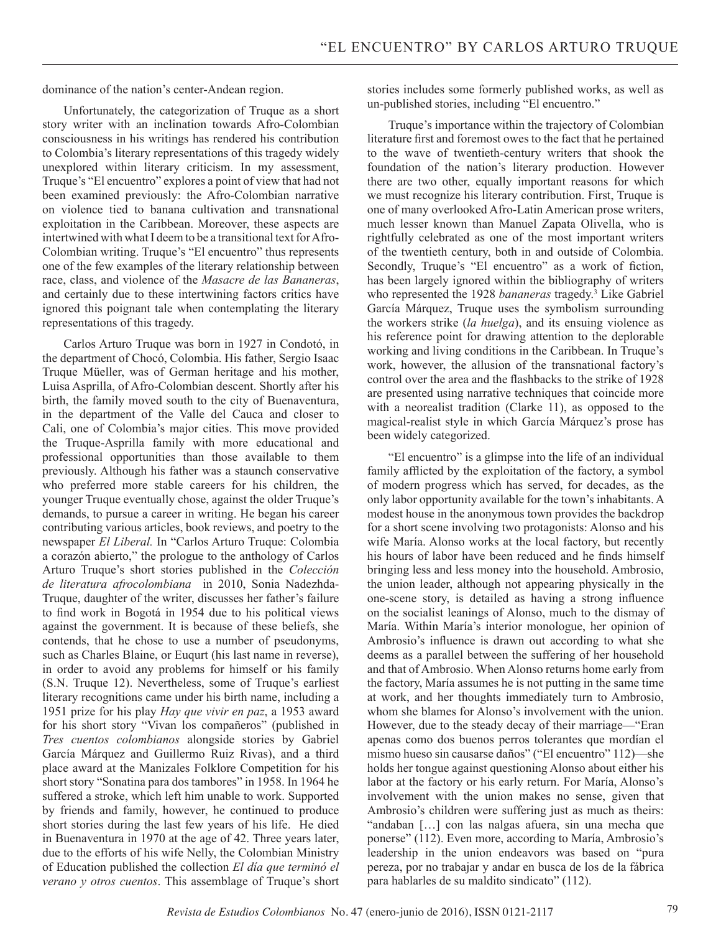dominance of the nation's center-Andean region.

Unfortunately, the categorization of Truque as a short story writer with an inclination towards Afro-Colombian consciousness in his writings has rendered his contribution to Colombia's literary representations of this tragedy widely unexplored within literary criticism. In my assessment, Truque's "El encuentro" explores a point of view that had not been examined previously: the Afro-Colombian narrative on violence tied to banana cultivation and transnational exploitation in the Caribbean. Moreover, these aspects are intertwined with what I deem to be a transitional text for Afro-Colombian writing. Truque's "El encuentro" thus represents one of the few examples of the literary relationship between race, class, and violence of the *Masacre de las Bananeras*, and certainly due to these intertwining factors critics have ignored this poignant tale when contemplating the literary representations of this tragedy.

Carlos Arturo Truque was born in 1927 in Condotó, in the department of Chocó, Colombia. His father, Sergio Isaac Truque Müeller, was of German heritage and his mother, Luisa Asprilla, of Afro-Colombian descent. Shortly after his birth, the family moved south to the city of Buenaventura, in the department of the Valle del Cauca and closer to Cali, one of Colombia's major cities. This move provided the Truque-Asprilla family with more educational and professional opportunities than those available to them previously. Although his father was a staunch conservative who preferred more stable careers for his children, the younger Truque eventually chose, against the older Truque's demands, to pursue a career in writing. He began his career contributing various articles, book reviews, and poetry to the newspaper *El Liberal.* In "Carlos Arturo Truque: Colombia a corazón abierto," the prologue to the anthology of Carlos Arturo Truque's short stories published in the *Colección de literatura afrocolombiana* in 2010, Sonia Nadezhda-Truque, daughter of the writer, discusses her father's failure to find work in Bogotá in 1954 due to his political views against the government. It is because of these beliefs, she contends, that he chose to use a number of pseudonyms, such as Charles Blaine, or Euqurt (his last name in reverse), in order to avoid any problems for himself or his family (S.N. Truque 12). Nevertheless, some of Truque's earliest literary recognitions came under his birth name, including a 1951 prize for his play *Hay que vivir en paz*, a 1953 award for his short story "Vivan los compañeros" (published in *Tres cuentos colombianos* alongside stories by Gabriel García Márquez and Guillermo Ruiz Rivas), and a third place award at the Manizales Folklore Competition for his short story "Sonatina para dos tambores" in 1958. In 1964 he suffered a stroke, which left him unable to work. Supported by friends and family, however, he continued to produce short stories during the last few years of his life. He died in Buenaventura in 1970 at the age of 42. Three years later, due to the efforts of his wife Nelly, the Colombian Ministry of Education published the collection *El día que terminó el verano y otros cuentos*. This assemblage of Truque's short stories includes some formerly published works, as well as un-published stories, including "El encuentro."

Truque's importance within the trajectory of Colombian literature first and foremost owes to the fact that he pertained to the wave of twentieth-century writers that shook the foundation of the nation's literary production. However there are two other, equally important reasons for which we must recognize his literary contribution. First, Truque is one of many overlooked Afro-Latin American prose writers, much lesser known than Manuel Zapata Olivella, who is rightfully celebrated as one of the most important writers of the twentieth century, both in and outside of Colombia. Secondly, Truque's "El encuentro" as a work of fiction, has been largely ignored within the bibliography of writers who represented the 1928 *bananeras* tragedy.<sup>3</sup> Like Gabriel García Márquez, Truque uses the symbolism surrounding the workers strike (*la huelga*), and its ensuing violence as his reference point for drawing attention to the deplorable working and living conditions in the Caribbean. In Truque's work, however, the allusion of the transnational factory's control over the area and the flashbacks to the strike of 1928 are presented using narrative techniques that coincide more with a neorealist tradition (Clarke 11), as opposed to the magical-realist style in which García Márquez's prose has been widely categorized.

"El encuentro" is a glimpse into the life of an individual family afflicted by the exploitation of the factory, a symbol of modern progress which has served, for decades, as the only labor opportunity available for the town's inhabitants. A modest house in the anonymous town provides the backdrop for a short scene involving two protagonists: Alonso and his wife María. Alonso works at the local factory, but recently his hours of labor have been reduced and he finds himself bringing less and less money into the household. Ambrosio, the union leader, although not appearing physically in the one-scene story, is detailed as having a strong influence on the socialist leanings of Alonso, much to the dismay of María. Within María's interior monologue, her opinion of Ambrosio's influence is drawn out according to what she deems as a parallel between the suffering of her household and that of Ambrosio. When Alonso returns home early from the factory, María assumes he is not putting in the same time at work, and her thoughts immediately turn to Ambrosio, whom she blames for Alonso's involvement with the union. However, due to the steady decay of their marriage—"Eran apenas como dos buenos perros tolerantes que mordían el mismo hueso sin causarse daños" ("El encuentro" 112)—she holds her tongue against questioning Alonso about either his labor at the factory or his early return. For María, Alonso's involvement with the union makes no sense, given that Ambrosio's children were suffering just as much as theirs: "andaban […] con las nalgas afuera, sin una mecha que ponerse" (112). Even more, according to María, Ambrosio's leadership in the union endeavors was based on "pura pereza, por no trabajar y andar en busca de los de la fábrica para hablarles de su maldito sindicato" (112).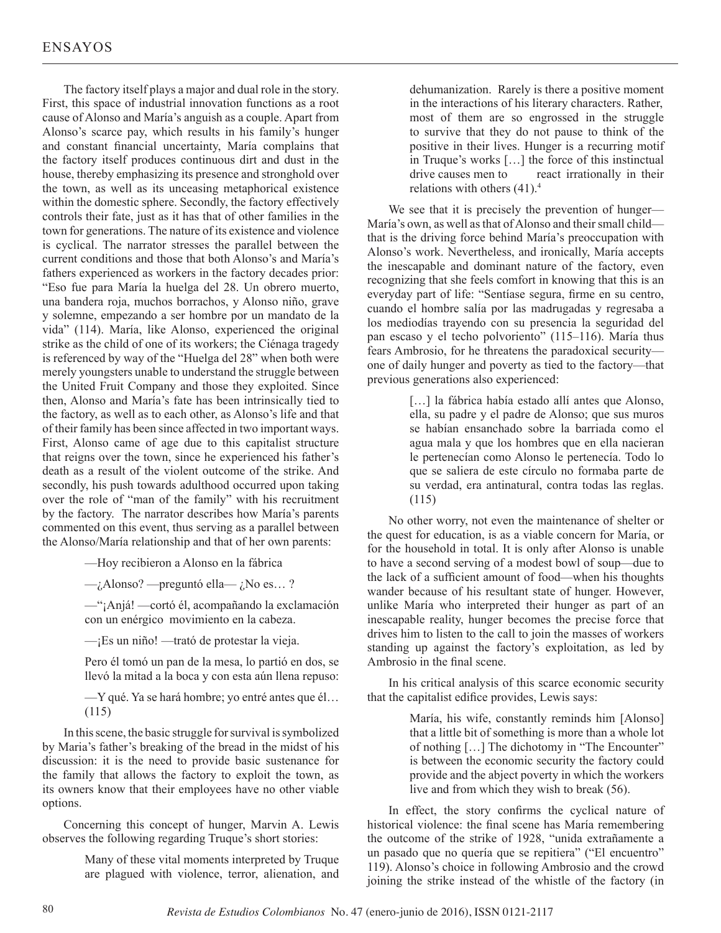The factory itself plays a major and dual role in the story. First, this space of industrial innovation functions as a root cause of Alonso and María's anguish as a couple. Apart from Alonso's scarce pay, which results in his family's hunger and constant financial uncertainty, María complains that the factory itself produces continuous dirt and dust in the house, thereby emphasizing its presence and stronghold over the town, as well as its unceasing metaphorical existence within the domestic sphere. Secondly, the factory effectively controls their fate, just as it has that of other families in the town for generations. The nature of its existence and violence is cyclical. The narrator stresses the parallel between the current conditions and those that both Alonso's and María's fathers experienced as workers in the factory decades prior: "Eso fue para María la huelga del 28. Un obrero muerto, una bandera roja, muchos borrachos, y Alonso niño, grave y solemne, empezando a ser hombre por un mandato de la vida" (114). María, like Alonso, experienced the original strike as the child of one of its workers; the Ciénaga tragedy is referenced by way of the "Huelga del 28" when both were merely youngsters unable to understand the struggle between the United Fruit Company and those they exploited. Since then, Alonso and María's fate has been intrinsically tied to the factory, as well as to each other, as Alonso's life and that of their family has been since affected in two important ways. First, Alonso came of age due to this capitalist structure that reigns over the town, since he experienced his father's death as a result of the violent outcome of the strike. And secondly, his push towards adulthood occurred upon taking over the role of "man of the family" with his recruitment by the factory. The narrator describes how María's parents commented on this event, thus serving as a parallel between the Alonso/María relationship and that of her own parents:

—Hoy recibieron a Alonso en la fábrica

 $\rightarrow$  Alonso? —preguntó ella— *i*No es...?

—"¡Anjá! —cortó él, acompañando la exclamación con un enérgico movimiento en la cabeza.

—¡Es un niño! —trató de protestar la vieja.

Pero él tomó un pan de la mesa, lo partió en dos, se llevó la mitad a la boca y con esta aún llena repuso:

—Y qué. Ya se hará hombre; yo entré antes que él… (115)

In this scene, the basic struggle for survival is symbolized by Maria's father's breaking of the bread in the midst of his discussion: it is the need to provide basic sustenance for the family that allows the factory to exploit the town, as its owners know that their employees have no other viable options.

Concerning this concept of hunger, Marvin A. Lewis observes the following regarding Truque's short stories:

> Many of these vital moments interpreted by Truque are plagued with violence, terror, alienation, and

dehumanization. Rarely is there a positive moment in the interactions of his literary characters. Rather, most of them are so engrossed in the struggle to survive that they do not pause to think of the positive in their lives. Hunger is a recurring motif in Truque's works […] the force of this instinctual drive causes men to react irrationally in their relations with others  $(41)^4$ .

We see that it is precisely the prevention of hunger— María's own, as well as that of Alonso and their small child that is the driving force behind María's preoccupation with Alonso's work. Nevertheless, and ironically, María accepts the inescapable and dominant nature of the factory, even recognizing that she feels comfort in knowing that this is an everyday part of life: "Sentíase segura, firme en su centro, cuando el hombre salía por las madrugadas y regresaba a los mediodías trayendo con su presencia la seguridad del pan escaso y el techo polvoriento" (115–116). María thus fears Ambrosio, for he threatens the paradoxical security one of daily hunger and poverty as tied to the factory—that previous generations also experienced:

> [...] la fábrica había estado allí antes que Alonso, ella, su padre y el padre de Alonso; que sus muros se habían ensanchado sobre la barriada como el agua mala y que los hombres que en ella nacieran le pertenecían como Alonso le pertenecía. Todo lo que se saliera de este círculo no formaba parte de su verdad, era antinatural, contra todas las reglas. (115)

No other worry, not even the maintenance of shelter or the quest for education, is as a viable concern for María, or for the household in total. It is only after Alonso is unable to have a second serving of a modest bowl of soup—due to the lack of a sufficient amount of food—when his thoughts wander because of his resultant state of hunger. However, unlike María who interpreted their hunger as part of an inescapable reality, hunger becomes the precise force that drives him to listen to the call to join the masses of workers standing up against the factory's exploitation, as led by Ambrosio in the final scene.

In his critical analysis of this scarce economic security that the capitalist edifice provides, Lewis says:

> María, his wife, constantly reminds him [Alonso] that a little bit of something is more than a whole lot of nothing […] The dichotomy in "The Encounter" is between the economic security the factory could provide and the abject poverty in which the workers live and from which they wish to break (56).

In effect, the story confirms the cyclical nature of historical violence: the final scene has María remembering the outcome of the strike of 1928, "unida extrañamente a un pasado que no quería que se repitiera" ("El encuentro" 119). Alonso's choice in following Ambrosio and the crowd joining the strike instead of the whistle of the factory (in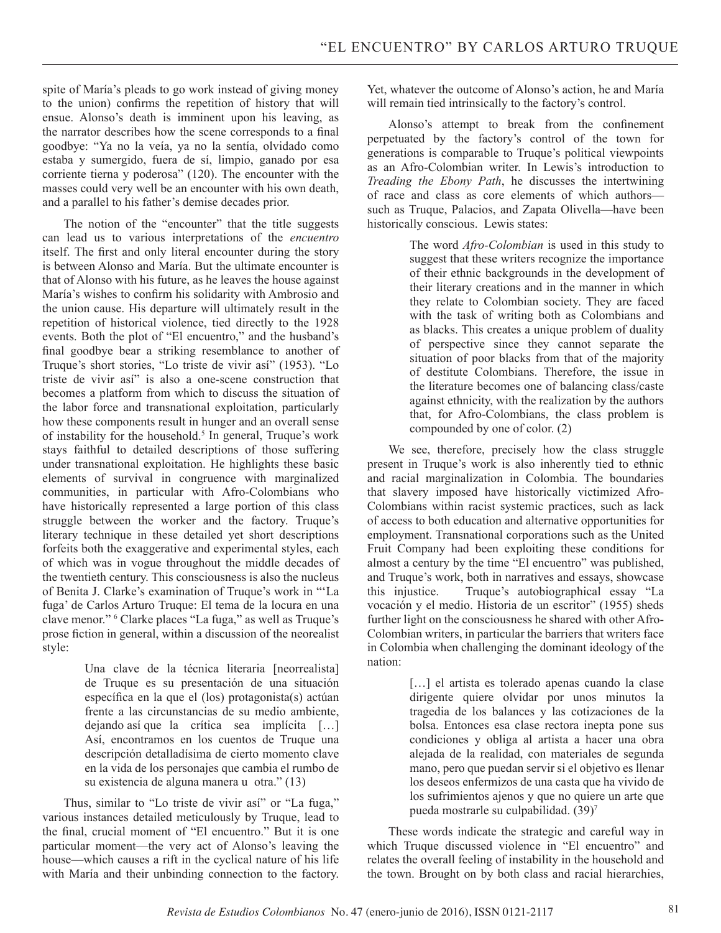spite of María's pleads to go work instead of giving money to the union) confirms the repetition of history that will ensue. Alonso's death is imminent upon his leaving, as the narrator describes how the scene corresponds to a final goodbye: "Ya no la veía, ya no la sentía, olvidado como estaba y sumergido, fuera de sí, limpio, ganado por esa corriente tierna y poderosa" (120). The encounter with the masses could very well be an encounter with his own death, and a parallel to his father's demise decades prior.

The notion of the "encounter" that the title suggests can lead us to various interpretations of the *encuentro*  itself. The first and only literal encounter during the story is between Alonso and María. But the ultimate encounter is that of Alonso with his future, as he leaves the house against María's wishes to confirm his solidarity with Ambrosio and the union cause. His departure will ultimately result in the repetition of historical violence, tied directly to the 1928 events. Both the plot of "El encuentro," and the husband's final goodbye bear a striking resemblance to another of Truque's short stories, "Lo triste de vivir así" (1953). "Lo triste de vivir así" is also a one-scene construction that becomes a platform from which to discuss the situation of the labor force and transnational exploitation, particularly how these components result in hunger and an overall sense of instability for the household.<sup>5</sup> In general, Truque's work stays faithful to detailed descriptions of those suffering under transnational exploitation. He highlights these basic elements of survival in congruence with marginalized communities, in particular with Afro-Colombians who have historically represented a large portion of this class struggle between the worker and the factory. Truque's literary technique in these detailed yet short descriptions forfeits both the exaggerative and experimental styles, each of which was in vogue throughout the middle decades of the twentieth century. This consciousness is also the nucleus of Benita J. Clarke's examination of Truque's work in "'La fuga' de Carlos Arturo Truque: El tema de la locura en una clave menor." 6 Clarke places "La fuga," as well as Truque's prose fiction in general, within a discussion of the neorealist style:

> Una clave de la técnica literaria [neorrealista] de Truque es su presentación de una situación específica en la que el (los) protagonista(s) actúan frente a las circunstancias de su medio ambiente, dejando así que la crítica sea implícita […] Así, encontramos en los cuentos de Truque una descripción detalladísima de cierto momento clave en la vida de los personajes que cambia el rumbo de su existencia de alguna manera u otra." (13)

Thus, similar to "Lo triste de vivir así" or "La fuga," various instances detailed meticulously by Truque, lead to the final, crucial moment of "El encuentro." But it is one particular moment—the very act of Alonso's leaving the house—which causes a rift in the cyclical nature of his life with María and their unbinding connection to the factory. Yet, whatever the outcome of Alonso's action, he and María will remain tied intrinsically to the factory's control.

Alonso's attempt to break from the confinement perpetuated by the factory's control of the town for generations is comparable to Truque's political viewpoints as an Afro-Colombian writer. In Lewis's introduction to *Treading the Ebony Path*, he discusses the intertwining of race and class as core elements of which authors such as Truque, Palacios, and Zapata Olivella—have been historically conscious. Lewis states:

> The word *Afro-Colombian* is used in this study to suggest that these writers recognize the importance of their ethnic backgrounds in the development of their literary creations and in the manner in which they relate to Colombian society. They are faced with the task of writing both as Colombians and as blacks. This creates a unique problem of duality of perspective since they cannot separate the situation of poor blacks from that of the majority of destitute Colombians. Therefore, the issue in the literature becomes one of balancing class/caste against ethnicity, with the realization by the authors that, for Afro-Colombians, the class problem is compounded by one of color. (2)

We see, therefore, precisely how the class struggle present in Truque's work is also inherently tied to ethnic and racial marginalization in Colombia. The boundaries that slavery imposed have historically victimized Afro-Colombians within racist systemic practices, such as lack of access to both education and alternative opportunities for employment. Transnational corporations such as the United Fruit Company had been exploiting these conditions for almost a century by the time "El encuentro" was published, and Truque's work, both in narratives and essays, showcase this injustice. Truque's autobiographical essay "La vocación y el medio. Historia de un escritor" (1955) sheds further light on the consciousness he shared with other Afro-Colombian writers, in particular the barriers that writers face in Colombia when challenging the dominant ideology of the nation:

> [...] el artista es tolerado apenas cuando la clase dirigente quiere olvidar por unos minutos la tragedia de los balances y las cotizaciones de la bolsa. Entonces esa clase rectora inepta pone sus condiciones y obliga al artista a hacer una obra alejada de la realidad, con materiales de segunda mano, pero que puedan servir si el objetivo es llenar los deseos enfermizos de una casta que ha vivido de los sufrimientos ajenos y que no quiere un arte que pueda mostrarle su culpabilidad. (39)<sup>7</sup>

These words indicate the strategic and careful way in which Truque discussed violence in "El encuentro" and relates the overall feeling of instability in the household and the town. Brought on by both class and racial hierarchies,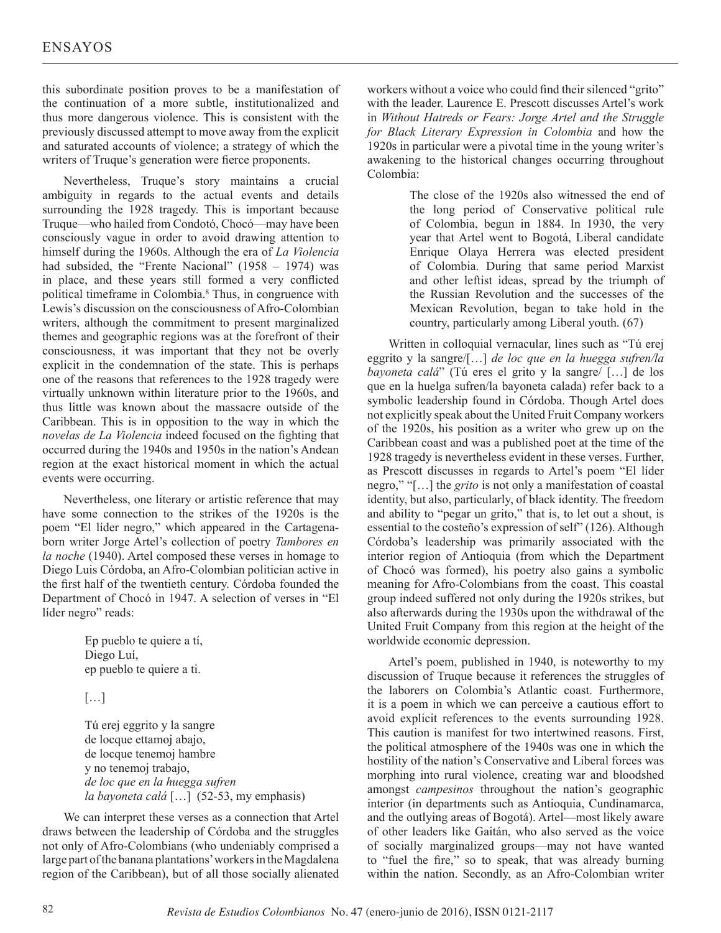this subordinate position proves to be a manifestation of the continuation of a more subtle, institutionalized and thus more dangerous violence. This is consistent with the previously discussed attempt to move away from the explicit and saturated accounts of violence; a strategy of which the writers of Truque's generation were fierce proponents.

Nevertheless, Truque's story maintains a crucial ambiguity in regards to the actual events and details surrounding the 1928 tragedy. This is important because Truque—who hailed from Condotó, Chocó—may have been consciously vague in order to avoid drawing attention to himself during the 1960s. Although the era of *La Violencia* had subsided, the "Frente Nacional" (1958 – 1974) was in place, and these years still formed a very conflicted political timeframe in Colombia.8 Thus, in congruence with Lewis's discussion on the consciousness of Afro-Colombian writers, although the commitment to present marginalized themes and geographic regions was at the forefront of their consciousness, it was important that they not be overly explicit in the condemnation of the state. This is perhaps one of the reasons that references to the 1928 tragedy were virtually unknown within literature prior to the 1960s, and thus little was known about the massacre outside of the Caribbean. This is in opposition to the way in which the *novelas de La Violencia* indeed focused on the fighting that occurred during the 1940s and 1950s in the nation's Andean region at the exact historical moment in which the actual events were occurring.

Nevertheless, one literary or artistic reference that may have some connection to the strikes of the 1920s is the poem "El líder negro," which appeared in the Cartagenaborn writer Jorge Artel's collection of poetry *Tambores en la noche* (1940). Artel composed these verses in homage to Diego Luis Córdoba, an Afro-Colombian politician active in the first half of the twentieth century. Córdoba founded the Department of Chocó in 1947. A selection of verses in "El líder negro" reads:

> Ep pueblo te quiere a tí, Diego Luí, ep pueblo te quiere a ti.

[…]

Tú erej eggrito y la sangre de locque ettamoj abajo, de locque tenemoj hambre y no tenemoj trabajo, *de loc que en la huegga sufren la bayoneta calá* […] (52-53, my emphasis)

We can interpret these verses as a connection that Artel draws between the leadership of Córdoba and the struggles not only of Afro-Colombians (who undeniably comprised a large part of the banana plantations' workers in the Magdalena region of the Caribbean), but of all those socially alienated

workers without a voice who could find their silenced "grito" with the leader. Laurence E. Prescott discusses Artel's work in *Without Hatreds or Fears: Jorge Artel and the Struggle for Black Literary Expression in Colombia* and how the 1920s in particular were a pivotal time in the young writer's awakening to the historical changes occurring throughout Colombia:

> The close of the 1920s also witnessed the end of the long period of Conservative political rule of Colombia, begun in 1884. In 1930, the very year that Artel went to Bogotá, Liberal candidate Enrique Olaya Herrera was elected president of Colombia. During that same period Marxist and other leftist ideas, spread by the triumph of the Russian Revolution and the successes of the Mexican Revolution, began to take hold in the country, particularly among Liberal youth. (67)

Written in colloquial vernacular, lines such as "Tú erej eggrito y la sangre/[…] *de loc que en la huegga sufren/la bayoneta calá*" (Tú eres el grito y la sangre/ […] de los que en la huelga sufren/la bayoneta calada) refer back to a symbolic leadership found in Córdoba. Though Artel does not explicitly speak about the United Fruit Company workers of the 1920s, his position as a writer who grew up on the Caribbean coast and was a published poet at the time of the 1928 tragedy is nevertheless evident in these verses. Further, as Prescott discusses in regards to Artel's poem "El líder negro," "[…] the *grito* is not only a manifestation of coastal identity, but also, particularly, of black identity. The freedom and ability to "pegar un grito," that is, to let out a shout, is essential to the costeño's expression of self" (126). Although Córdoba's leadership was primarily associated with the interior region of Antioquia (from which the Department of Chocó was formed), his poetry also gains a symbolic meaning for Afro-Colombians from the coast. This coastal group indeed suffered not only during the 1920s strikes, but also afterwards during the 1930s upon the withdrawal of the United Fruit Company from this region at the height of the worldwide economic depression.

Artel's poem, published in 1940, is noteworthy to my discussion of Truque because it references the struggles of the laborers on Colombia's Atlantic coast. Furthermore, it is a poem in which we can perceive a cautious effort to avoid explicit references to the events surrounding 1928. This caution is manifest for two intertwined reasons. First, the political atmosphere of the 1940s was one in which the hostility of the nation's Conservative and Liberal forces was morphing into rural violence, creating war and bloodshed amongst *campesinos* throughout the nation's geographic interior (in departments such as Antioquia, Cundinamarca, and the outlying areas of Bogotá). Artel—most likely aware of other leaders like Gaitán, who also served as the voice of socially marginalized groups—may not have wanted to "fuel the fire," so to speak, that was already burning within the nation. Secondly, as an Afro-Colombian writer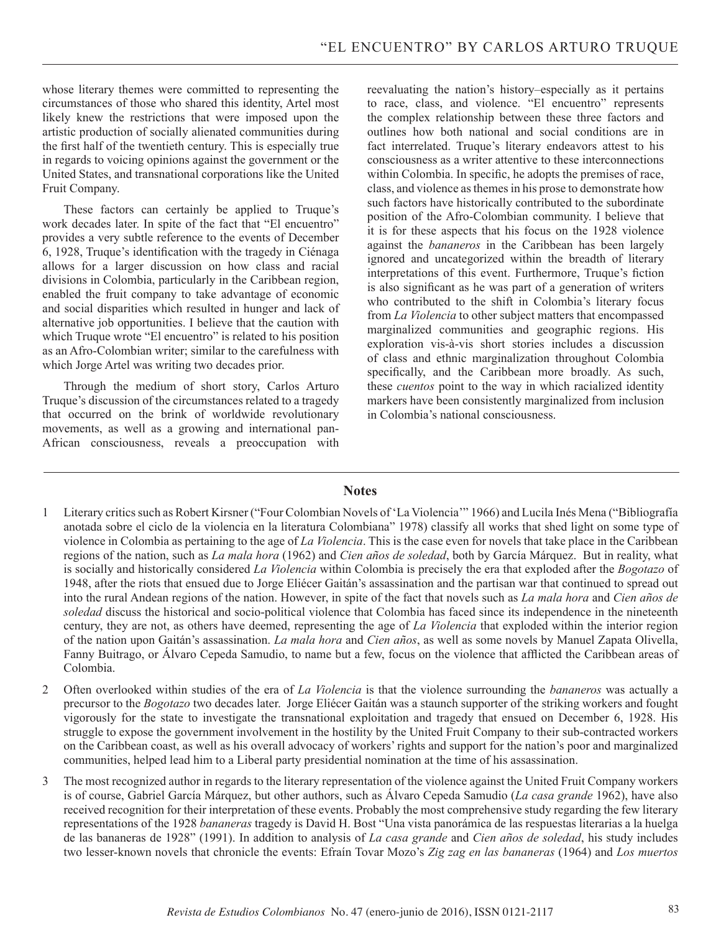whose literary themes were committed to representing the circumstances of those who shared this identity, Artel most likely knew the restrictions that were imposed upon the artistic production of socially alienated communities during the first half of the twentieth century. This is especially true in regards to voicing opinions against the government or the United States, and transnational corporations like the United Fruit Company.

These factors can certainly be applied to Truque's work decades later. In spite of the fact that "El encuentro" provides a very subtle reference to the events of December 6, 1928, Truque's identification with the tragedy in Ciénaga allows for a larger discussion on how class and racial divisions in Colombia, particularly in the Caribbean region, enabled the fruit company to take advantage of economic and social disparities which resulted in hunger and lack of alternative job opportunities. I believe that the caution with which Truque wrote "El encuentro" is related to his position as an Afro-Colombian writer; similar to the carefulness with which Jorge Artel was writing two decades prior.

Through the medium of short story, Carlos Arturo Truque's discussion of the circumstances related to a tragedy that occurred on the brink of worldwide revolutionary movements, as well as a growing and international pan-African consciousness, reveals a preoccupation with reevaluating the nation's history–especially as it pertains to race, class, and violence. "El encuentro" represents the complex relationship between these three factors and outlines how both national and social conditions are in fact interrelated. Truque's literary endeavors attest to his consciousness as a writer attentive to these interconnections within Colombia. In specific, he adopts the premises of race, class, and violence as themes in his prose to demonstrate how such factors have historically contributed to the subordinate position of the Afro-Colombian community. I believe that it is for these aspects that his focus on the 1928 violence against the *bananeros* in the Caribbean has been largely ignored and uncategorized within the breadth of literary interpretations of this event. Furthermore, Truque's fiction is also significant as he was part of a generation of writers who contributed to the shift in Colombia's literary focus from *La Violencia* to other subject matters that encompassed marginalized communities and geographic regions. His exploration vis-à-vis short stories includes a discussion of class and ethnic marginalization throughout Colombia specifically, and the Caribbean more broadly. As such, these *cuentos* point to the way in which racialized identity markers have been consistently marginalized from inclusion in Colombia's national consciousness.

## **Notes**

- 1 Literary critics such as Robert Kirsner ("Four Colombian Novels of 'La Violencia'" 1966) and Lucila Inés Mena ("Bibliografía anotada sobre el ciclo de la violencia en la literatura Colombiana" 1978) classify all works that shed light on some type of violence in Colombia as pertaining to the age of *La Violencia*. This is the case even for novels that take place in the Caribbean regions of the nation, such as *La mala hora* (1962) and *Cien años de soledad*, both by García Márquez. But in reality, what is socially and historically considered *La Violencia* within Colombia is precisely the era that exploded after the *Bogotazo* of 1948, after the riots that ensued due to Jorge Eliécer Gaitán's assassination and the partisan war that continued to spread out into the rural Andean regions of the nation. However, in spite of the fact that novels such as *La mala hora* and *Cien años de soledad* discuss the historical and socio-political violence that Colombia has faced since its independence in the nineteenth century, they are not, as others have deemed, representing the age of *La Violencia* that exploded within the interior region of the nation upon Gaitán's assassination. *La mala hora* and *Cien años*, as well as some novels by Manuel Zapata Olivella, Fanny Buitrago, or Álvaro Cepeda Samudio, to name but a few, focus on the violence that afflicted the Caribbean areas of Colombia.
- 2 Often overlooked within studies of the era of *La Violencia* is that the violence surrounding the *bananeros* was actually a precursor to the *Bogotazo* two decades later. Jorge Eliécer Gaitán was a staunch supporter of the striking workers and fought vigorously for the state to investigate the transnational exploitation and tragedy that ensued on December 6, 1928. His struggle to expose the government involvement in the hostility by the United Fruit Company to their sub-contracted workers on the Caribbean coast, as well as his overall advocacy of workers' rights and support for the nation's poor and marginalized communities, helped lead him to a Liberal party presidential nomination at the time of his assassination.
- 3 The most recognized author in regards to the literary representation of the violence against the United Fruit Company workers is of course, Gabriel García Márquez, but other authors, such as Álvaro Cepeda Samudio (*La casa grande* 1962), have also received recognition for their interpretation of these events. Probably the most comprehensive study regarding the few literary representations of the 1928 *bananeras* tragedy is David H. Bost "Una vista panorámica de las respuestas literarias a la huelga de las bananeras de 1928" (1991). In addition to analysis of *La casa grande* and *Cien años de soledad*, his study includes two lesser-known novels that chronicle the events: Efraín Tovar Mozo's *Zig zag en las bananeras* (1964) and *Los muertos*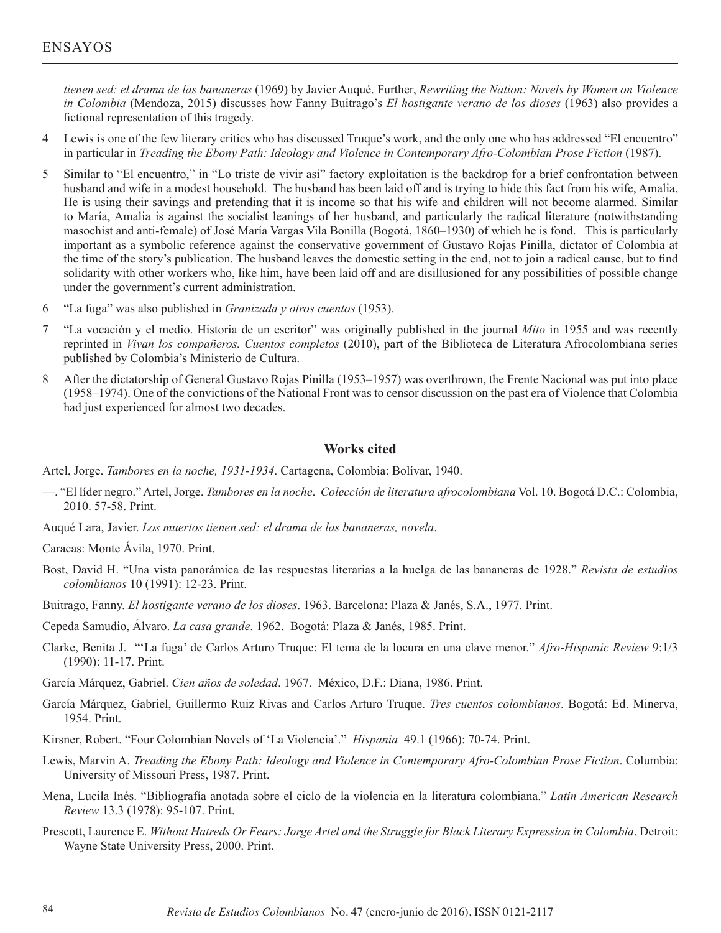*tienen sed: el drama de las bananeras* (1969) by Javier Auqué. Further, *Rewriting the Nation: Novels by Women on Violence in Colombia* (Mendoza, 2015) discusses how Fanny Buitrago's *El hostigante verano de los dioses* (1963) also provides a fictional representation of this tragedy.

- 4 Lewis is one of the few literary critics who has discussed Truque's work, and the only one who has addressed "El encuentro" in particular in *Treading the Ebony Path: Ideology and Violence in Contemporary Afro-Colombian Prose Fiction* (1987).
- 5 Similar to "El encuentro," in "Lo triste de vivir así" factory exploitation is the backdrop for a brief confrontation between husband and wife in a modest household. The husband has been laid off and is trying to hide this fact from his wife, Amalia. He is using their savings and pretending that it is income so that his wife and children will not become alarmed. Similar to María, Amalia is against the socialist leanings of her husband, and particularly the radical literature (notwithstanding masochist and anti-female) of José María Vargas Vila Bonilla (Bogotá, 1860–1930) of which he is fond. This is particularly important as a symbolic reference against the conservative government of Gustavo Rojas Pinilla, dictator of Colombia at the time of the story's publication. The husband leaves the domestic setting in the end, not to join a radical cause, but to find solidarity with other workers who, like him, have been laid off and are disillusioned for any possibilities of possible change under the government's current administration.
- 6 "La fuga" was also published in *Granizada y otros cuentos* (1953).
- 7 "La vocación y el medio. Historia de un escritor" was originally published in the journal *Mito* in 1955 and was recently reprinted in *Vivan los compañeros. Cuentos completos* (2010), part of the Biblioteca de Literatura Afrocolombiana series published by Colombia's Ministerio de Cultura.
- 8 After the dictatorship of General Gustavo Rojas Pinilla (1953–1957) was overthrown, the Frente Nacional was put into place (1958–1974). One of the convictions of the National Front was to censor discussion on the past era of Violence that Colombia had just experienced for almost two decades.

### **Works cited**

Artel, Jorge. *Tambores en la noche, 1931-1934*. Cartagena, Colombia: Bolívar, 1940.

- —. "El líder negro." Artel, Jorge. *Tambores en la noche*. *Colección de literatura afrocolombiana* Vol. 10. Bogotá D.C.: Colombia, 2010. 57-58. Print.
- Auqué Lara, Javier. *Los muertos tienen sed: el drama de las bananeras, novela*.

Caracas: Monte Ávila, 1970. Print.

- Bost, David H. "Una vista panorámica de las respuestas literarias a la huelga de las bananeras de 1928." *Revista de estudios colombianos* 10 (1991): 12-23. Print.
- Buitrago, Fanny. *El hostigante verano de los dioses*. 1963. Barcelona: Plaza & Janés, S.A., 1977. Print.
- Cepeda Samudio, Álvaro. *La casa grande*. 1962. Bogotá: Plaza & Janés, 1985. Print.
- Clarke, Benita J. "'La fuga' de Carlos Arturo Truque: El tema de la locura en una clave menor." *Afro-Hispanic Review* 9:1/3 (1990): 11-17. Print.
- García Márquez, Gabriel. *Cien años de soledad*. 1967. México, D.F.: Diana, 1986. Print.
- García Márquez, Gabriel, Guillermo Ruiz Rivas and Carlos Arturo Truque. *Tres cuentos colombianos*. Bogotá: Ed. Minerva, 1954. Print.
- Kirsner, Robert. "Four Colombian Novels of 'La Violencia'." *Hispania* 49.1 (1966): 70-74. Print.
- Lewis, Marvin A. *Treading the Ebony Path: Ideology and Violence in Contemporary Afro-Colombian Prose Fiction*. Columbia: University of Missouri Press, 1987. Print.
- Mena, Lucila Inés. "Bibliografía anotada sobre el ciclo de la violencia en la literatura colombiana." *Latin American Research Review* 13.3 (1978): 95-107. Print.
- Prescott, Laurence E. *Without Hatreds Or Fears: Jorge Artel and the Struggle for Black Literary Expression in Colombia*. Detroit: Wayne State University Press, 2000. Print.